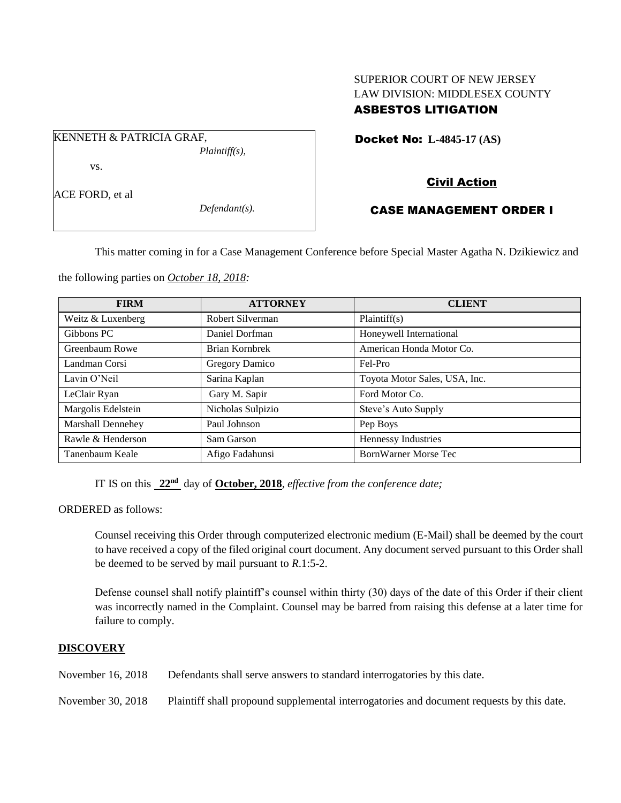# SUPERIOR COURT OF NEW JERSEY LAW DIVISION: MIDDLESEX COUNTY ASBESTOS LITIGATION

Docket No: **L-4845-17 (AS)** 

vs.

KENNETH & PATRICIA GRAF,

ACE FORD, et al

*Defendant(s).*

*Plaintiff(s),*

# Civil Action

## CASE MANAGEMENT ORDER I

This matter coming in for a Case Management Conference before Special Master Agatha N. Dzikiewicz and

the following parties on *October 18, 2018:*

| <b>FIRM</b>        | <b>ATTORNEY</b>   | <b>CLIENT</b>                 |
|--------------------|-------------------|-------------------------------|
| Weitz & Luxenberg  | Robert Silverman  | Plaintiff(s)                  |
| Gibbons PC         | Daniel Dorfman    | Honeywell International       |
| Greenbaum Rowe     | Brian Kornbrek    | American Honda Motor Co.      |
| Landman Corsi      | Gregory Damico    | Fel-Pro                       |
| Lavin O'Neil       | Sarina Kaplan     | Toyota Motor Sales, USA, Inc. |
| LeClair Ryan       | Gary M. Sapir     | Ford Motor Co.                |
| Margolis Edelstein | Nicholas Sulpizio | Steve's Auto Supply           |
| Marshall Dennehey  | Paul Johnson      | Pep Boys                      |
| Rawle & Henderson  | Sam Garson        | Hennessy Industries           |
| Tanenbaum Keale    | Afigo Fadahunsi   | <b>BornWarner Morse Tec</b>   |

IT IS on this **22nd** day of **October, 2018**, *effective from the conference date;*

ORDERED as follows:

Counsel receiving this Order through computerized electronic medium (E-Mail) shall be deemed by the court to have received a copy of the filed original court document. Any document served pursuant to this Order shall be deemed to be served by mail pursuant to *R*.1:5-2.

Defense counsel shall notify plaintiff's counsel within thirty (30) days of the date of this Order if their client was incorrectly named in the Complaint. Counsel may be barred from raising this defense at a later time for failure to comply.

## **DISCOVERY**

November 16, 2018 Defendants shall serve answers to standard interrogatories by this date.

November 30, 2018 Plaintiff shall propound supplemental interrogatories and document requests by this date.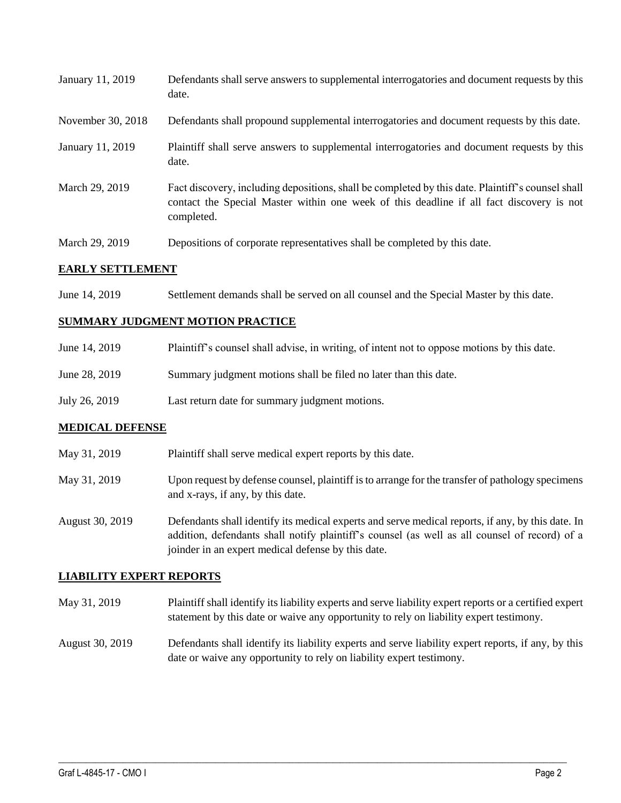| January 11, 2019        | Defendants shall serve answers to supplemental interrogatories and document requests by this<br>date.                                                                                                       |  |
|-------------------------|-------------------------------------------------------------------------------------------------------------------------------------------------------------------------------------------------------------|--|
| November 30, 2018       | Defendants shall propound supplemental interrogatories and document requests by this date.                                                                                                                  |  |
| January 11, 2019        | Plaintiff shall serve answers to supplemental interrogatories and document requests by this<br>date.                                                                                                        |  |
| March 29, 2019          | Fact discovery, including depositions, shall be completed by this date. Plaintiff's counsel shall<br>contact the Special Master within one week of this deadline if all fact discovery is not<br>completed. |  |
| March 29, 2019          | Depositions of corporate representatives shall be completed by this date.                                                                                                                                   |  |
| <b>EARLY SETTLEMENT</b> |                                                                                                                                                                                                             |  |

# **EARLY SETTLEMENT**

June 14, 2019 Settlement demands shall be served on all counsel and the Special Master by this date.

#### **SUMMARY JUDGMENT MOTION PRACTICE**

| June 14, 2019 | Plaintiff's counsel shall advise, in writing, of intent not to oppose motions by this date. |
|---------------|---------------------------------------------------------------------------------------------|
| June 28, 2019 | Summary judgment motions shall be filed no later than this date.                            |
| July 26, 2019 | Last return date for summary judgment motions.                                              |

## **MEDICAL DEFENSE**

| May 31, 2019    | Plaintiff shall serve medical expert reports by this date.                                                                                                                                         |
|-----------------|----------------------------------------------------------------------------------------------------------------------------------------------------------------------------------------------------|
| May 31, 2019    | Upon request by defense counsel, plaintiff is to arrange for the transfer of pathology specimens<br>and x-rays, if any, by this date.                                                              |
| August 30, 2019 | Defendants shall identify its medical experts and serve medical reports, if any, by this date. In<br>addition, defendants shall notify plaintiff's counsel (as well as all counsel of record) of a |

## **LIABILITY EXPERT REPORTS**

May 31, 2019 Plaintiff shall identify its liability experts and serve liability expert reports or a certified expert statement by this date or waive any opportunity to rely on liability expert testimony.

joinder in an expert medical defense by this date.

August 30, 2019 Defendants shall identify its liability experts and serve liability expert reports, if any, by this date or waive any opportunity to rely on liability expert testimony.

 $\_$  ,  $\_$  ,  $\_$  ,  $\_$  ,  $\_$  ,  $\_$  ,  $\_$  ,  $\_$  ,  $\_$  ,  $\_$  ,  $\_$  ,  $\_$  ,  $\_$  ,  $\_$  ,  $\_$  ,  $\_$  ,  $\_$  ,  $\_$  ,  $\_$  ,  $\_$  ,  $\_$  ,  $\_$  ,  $\_$  ,  $\_$  ,  $\_$  ,  $\_$  ,  $\_$  ,  $\_$  ,  $\_$  ,  $\_$  ,  $\_$  ,  $\_$  ,  $\_$  ,  $\_$  ,  $\_$  ,  $\_$  ,  $\_$  ,